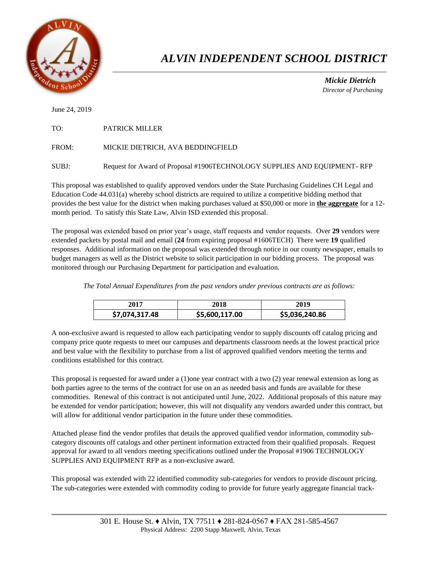

## *ALVIN INDEPENDENT SCHOOL DISTRICT*

 *Mickie Dietrich Director of Purchasing*

June 24, 2019

| TO: | <b>PATRICK MILLER</b> |
|-----|-----------------------|
|     |                       |

FROM: MICKIE DIETRICH, AVA BEDDINGFIELD

SUBJ: Request for Award of Proposal #1906TECHNOLOGY SUPPLIES AND EQUIPMENT- RFP

This proposal was established to qualify approved vendors under the State Purchasing Guidelines CH Legal and Education Code 44.031(a) whereby school districts are required to utilize a competitive bidding method that provides the best value for the district when making purchases valued at \$50,000 or more in **the aggregate** for a 12 month period. To satisfy this State Law, Alvin ISD extended this proposal.

The proposal was extended based on prior year's usage, staff requests and vendor requests. Over **29** vendors were extended packets by postal mail and email (**24** from expiring proposal #1606TECH) There were **19** qualified responses. Additional information on the proposal was extended through notice in our county newspaper, emails to budget managers as well as the District website to solicit participation in our bidding process. The proposal was monitored through our Purchasing Department for participation and evaluation.

*The Total Annual Expenditures from the past vendors under previous contracts are as follows:* 

| 2017           | 2018           | 2019           |
|----------------|----------------|----------------|
| \$7,074,317.48 | \$5,600,117.00 | \$5,036,240.86 |

A non-exclusive award is requested to allow each participating vendor to supply discounts off catalog pricing and company price quote requests to meet our campuses and departments classroom needs at the lowest practical price and best value with the flexibility to purchase from a list of approved qualified vendors meeting the terms and conditions established for this contract.

This proposal is requested for award under a (1)one year contract with a two (2) year renewal extension as long as both parties agree to the terms of the contract for use on an as needed basis and funds are available for these commodities. Renewal of this contract is not anticipated until June, 2022. Additional proposals of this nature may be extended for vendor participation; however, this will not disqualify any vendors awarded under this contract, but will allow for additional vendor participation in the future under these commodities.

Attached please find the vendor profiles that details the approved qualified vendor information, commodity subcategory discounts off catalogs and other pertinent information extracted from their qualified proposals. Request approval for award to all vendors meeting specifications outlined under the Proposal #1906 TECHNOLOGY SUPPLIES AND EQUIPMENT RFP as a non-exclusive award.

This proposal was extended with 22 identified commodity sub-categories for vendors to provide discount pricing. The sub-categories were extended with commodity coding to provide for future yearly aggregate financial track